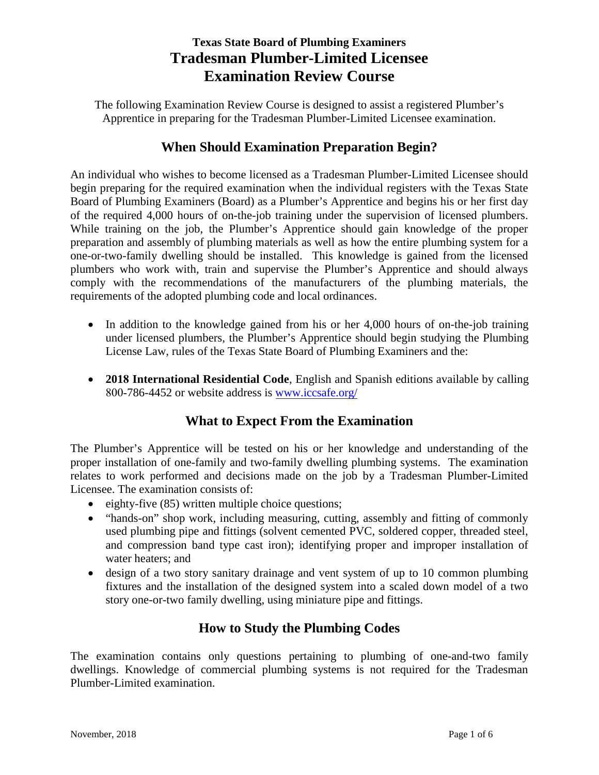# **Texas State Board of Plumbing Examiners Tradesman Plumber-Limited Licensee Examination Review Course**

The following Examination Review Course is designed to assist a registered Plumber's Apprentice in preparing for the Tradesman Plumber-Limited Licensee examination.

## **When Should Examination Preparation Begin?**

An individual who wishes to become licensed as a Tradesman Plumber-Limited Licensee should begin preparing for the required examination when the individual registers with the Texas State Board of Plumbing Examiners (Board) as a Plumber's Apprentice and begins his or her first day of the required 4,000 hours of on-the-job training under the supervision of licensed plumbers. While training on the job, the Plumber's Apprentice should gain knowledge of the proper preparation and assembly of plumbing materials as well as how the entire plumbing system for a one-or-two-family dwelling should be installed. This knowledge is gained from the licensed plumbers who work with, train and supervise the Plumber's Apprentice and should always comply with the recommendations of the manufacturers of the plumbing materials, the requirements of the adopted plumbing code and local ordinances.

- In addition to the knowledge gained from his or her 4,000 hours of on-the-job training under licensed plumbers, the Plumber's Apprentice should begin studying the Plumbing License Law, rules of the Texas State Board of Plumbing Examiners and the:
- **2018 International Residential Code**, English and Spanish editions available by calling 800-786-4452 or website address is [www.iccsafe.org/](http://www.iccsafe.org/)

## **What to Expect From the Examination**

The Plumber's Apprentice will be tested on his or her knowledge and understanding of the proper installation of one-family and two-family dwelling plumbing systems. The examination relates to work performed and decisions made on the job by a Tradesman Plumber-Limited Licensee. The examination consists of:

- eighty-five (85) written multiple choice questions;
- "hands-on" shop work, including measuring, cutting, assembly and fitting of commonly used plumbing pipe and fittings (solvent cemented PVC, soldered copper, threaded steel, and compression band type cast iron); identifying proper and improper installation of water heaters; and
- design of a two story sanitary drainage and vent system of up to 10 common plumbing fixtures and the installation of the designed system into a scaled down model of a two story one-or-two family dwelling, using miniature pipe and fittings.

# **How to Study the Plumbing Codes**

The examination contains only questions pertaining to plumbing of one-and-two family dwellings. Knowledge of commercial plumbing systems is not required for the Tradesman Plumber-Limited examination.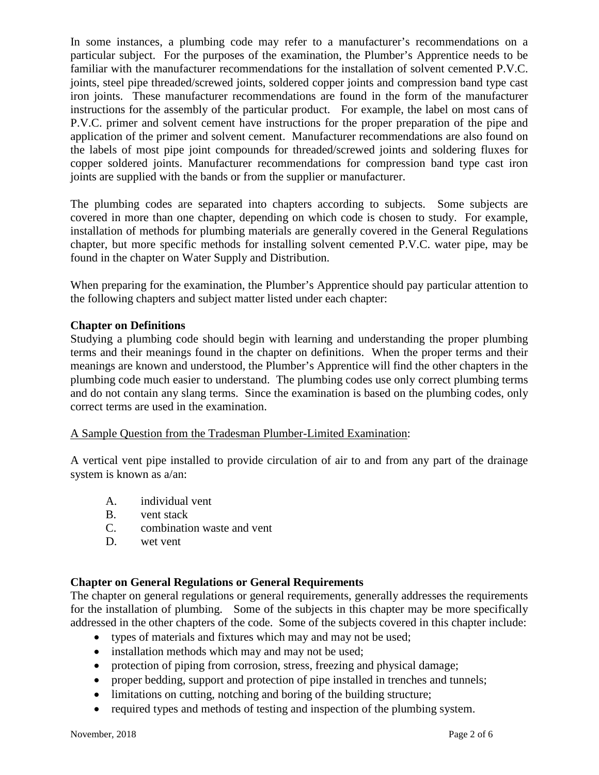In some instances, a plumbing code may refer to a manufacturer's recommendations on a particular subject. For the purposes of the examination, the Plumber's Apprentice needs to be familiar with the manufacturer recommendations for the installation of solvent cemented P.V.C. joints, steel pipe threaded/screwed joints, soldered copper joints and compression band type cast iron joints. These manufacturer recommendations are found in the form of the manufacturer instructions for the assembly of the particular product. For example, the label on most cans of P.V.C. primer and solvent cement have instructions for the proper preparation of the pipe and application of the primer and solvent cement. Manufacturer recommendations are also found on the labels of most pipe joint compounds for threaded/screwed joints and soldering fluxes for copper soldered joints. Manufacturer recommendations for compression band type cast iron joints are supplied with the bands or from the supplier or manufacturer.

The plumbing codes are separated into chapters according to subjects. Some subjects are covered in more than one chapter, depending on which code is chosen to study. For example, installation of methods for plumbing materials are generally covered in the General Regulations chapter, but more specific methods for installing solvent cemented P.V.C. water pipe, may be found in the chapter on Water Supply and Distribution.

When preparing for the examination, the Plumber's Apprentice should pay particular attention to the following chapters and subject matter listed under each chapter:

## **Chapter on Definitions**

Studying a plumbing code should begin with learning and understanding the proper plumbing terms and their meanings found in the chapter on definitions. When the proper terms and their meanings are known and understood, the Plumber's Apprentice will find the other chapters in the plumbing code much easier to understand. The plumbing codes use only correct plumbing terms and do not contain any slang terms. Since the examination is based on the plumbing codes, only correct terms are used in the examination.

A Sample Question from the Tradesman Plumber-Limited Examination:

A vertical vent pipe installed to provide circulation of air to and from any part of the drainage system is known as a/an:

- A. individual vent
- B. vent stack
- C. combination waste and vent
- D. wet vent

## **Chapter on General Regulations or General Requirements**

The chapter on general regulations or general requirements, generally addresses the requirements for the installation of plumbing. Some of the subjects in this chapter may be more specifically addressed in the other chapters of the code. Some of the subjects covered in this chapter include:

- types of materials and fixtures which may and may not be used;
- installation methods which may and may not be used;
- protection of piping from corrosion, stress, freezing and physical damage;
- proper bedding, support and protection of pipe installed in trenches and tunnels;
- limitations on cutting, notching and boring of the building structure;
- required types and methods of testing and inspection of the plumbing system.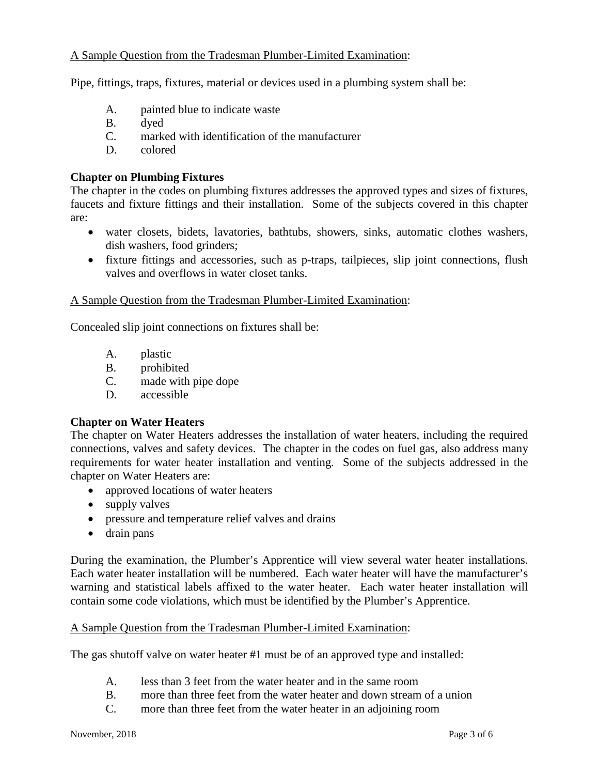### A Sample Question from the Tradesman Plumber-Limited Examination:

Pipe, fittings, traps, fixtures, material or devices used in a plumbing system shall be:

- A. painted blue to indicate waste
- B. dyed
- C. marked with identification of the manufacturer
- D. colored

#### **Chapter on Plumbing Fixtures**

The chapter in the codes on plumbing fixtures addresses the approved types and sizes of fixtures, faucets and fixture fittings and their installation. Some of the subjects covered in this chapter are:

- water closets, bidets, lavatories, bathtubs, showers, sinks, automatic clothes washers, dish washers, food grinders;
- fixture fittings and accessories, such as p-traps, tailpieces, slip joint connections, flush valves and overflows in water closet tanks.

#### A Sample Question from the Tradesman Plumber-Limited Examination:

Concealed slip joint connections on fixtures shall be:

- A. plastic
- B. prohibited
- C. made with pipe dope
- D. accessible

#### **Chapter on Water Heaters**

The chapter on Water Heaters addresses the installation of water heaters, including the required connections, valves and safety devices. The chapter in the codes on fuel gas, also address many requirements for water heater installation and venting. Some of the subjects addressed in the chapter on Water Heaters are:

- approved locations of water heaters
- supply valves
- pressure and temperature relief valves and drains
- drain pans

During the examination, the Plumber's Apprentice will view several water heater installations. Each water heater installation will be numbered. Each water heater will have the manufacturer's warning and statistical labels affixed to the water heater. Each water heater installation will contain some code violations, which must be identified by the Plumber's Apprentice.

#### A Sample Question from the Tradesman Plumber-Limited Examination:

The gas shutoff valve on water heater #1 must be of an approved type and installed:

- A. less than 3 feet from the water heater and in the same room
- B. more than three feet from the water heater and down stream of a union
- C. more than three feet from the water heater in an adjoining room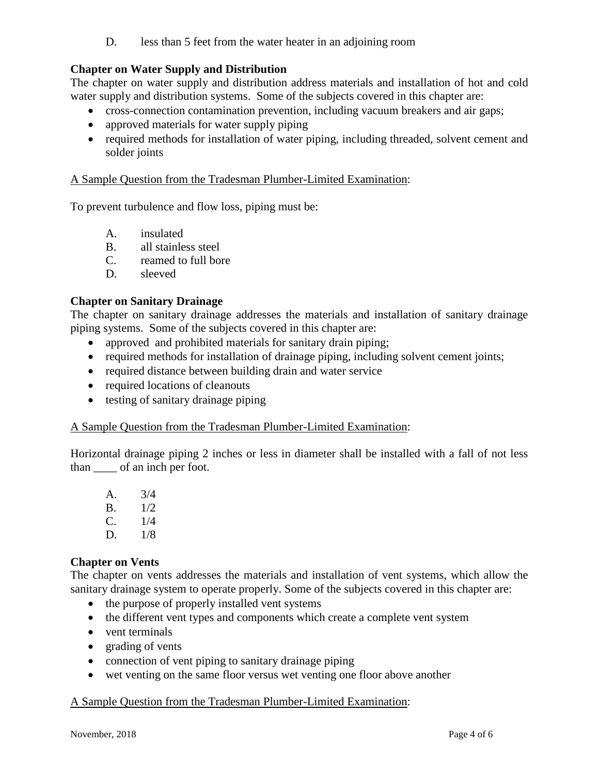D. less than 5 feet from the water heater in an adjoining room

## **Chapter on Water Supply and Distribution**

The chapter on water supply and distribution address materials and installation of hot and cold water supply and distribution systems. Some of the subjects covered in this chapter are:

- cross-connection contamination prevention, including vacuum breakers and air gaps;
- approved materials for water supply piping
- required methods for installation of water piping, including threaded, solvent cement and solder joints

### A Sample Question from the Tradesman Plumber-Limited Examination:

To prevent turbulence and flow loss, piping must be:

- A. insulated
- B. all stainless steel
- C. reamed to full bore
- D. sleeved

## **Chapter on Sanitary Drainage**

The chapter on sanitary drainage addresses the materials and installation of sanitary drainage piping systems. Some of the subjects covered in this chapter are:

- approved and prohibited materials for sanitary drain piping;
- required methods for installation of drainage piping, including solvent cement joints;
- required distance between building drain and water service
- required locations of cleanouts
- testing of sanitary drainage piping

#### A Sample Question from the Tradesman Plumber-Limited Examination:

Horizontal drainage piping 2 inches or less in diameter shall be installed with a fall of not less than \_\_\_\_ of an inch per foot.

| A. | 3/4 |
|----|-----|
| В. | 1/2 |
| C. | 1/4 |
| D. | 1/8 |

#### **Chapter on Vents**

The chapter on vents addresses the materials and installation of vent systems, which allow the sanitary drainage system to operate properly. Some of the subjects covered in this chapter are:

- the purpose of properly installed vent systems
- the different vent types and components which create a complete vent system
- vent terminals
- grading of vents
- connection of vent piping to sanitary drainage piping
- wet venting on the same floor versus wet venting one floor above another

## A Sample Question from the Tradesman Plumber-Limited Examination: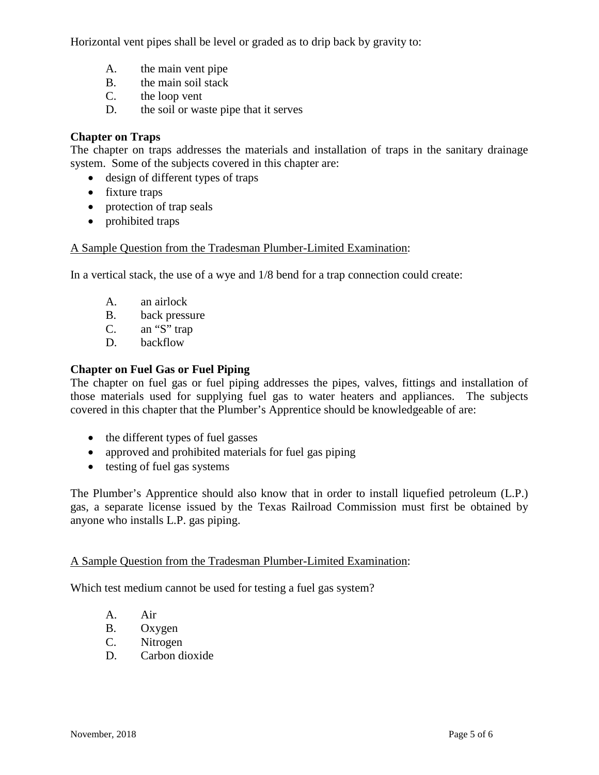Horizontal vent pipes shall be level or graded as to drip back by gravity to:

- A. the main vent pipe
- B. the main soil stack
- C. the loop vent
- D. the soil or waste pipe that it serves

### **Chapter on Traps**

The chapter on traps addresses the materials and installation of traps in the sanitary drainage system. Some of the subjects covered in this chapter are:

- design of different types of traps
- fixture traps
- protection of trap seals
- prohibited traps

### A Sample Question from the Tradesman Plumber-Limited Examination:

In a vertical stack, the use of a wye and 1/8 bend for a trap connection could create:

- A. an airlock
- B. back pressure
- C. an "S" trap
- D. backflow

### **Chapter on Fuel Gas or Fuel Piping**

The chapter on fuel gas or fuel piping addresses the pipes, valves, fittings and installation of those materials used for supplying fuel gas to water heaters and appliances. The subjects covered in this chapter that the Plumber's Apprentice should be knowledgeable of are:

- the different types of fuel gasses
- approved and prohibited materials for fuel gas piping
- testing of fuel gas systems

The Plumber's Apprentice should also know that in order to install liquefied petroleum (L.P.) gas, a separate license issued by the Texas Railroad Commission must first be obtained by anyone who installs L.P. gas piping.

#### A Sample Question from the Tradesman Plumber-Limited Examination:

Which test medium cannot be used for testing a fuel gas system?

- A. Air
- B. Oxygen
- C. Nitrogen
- D. Carbon dioxide